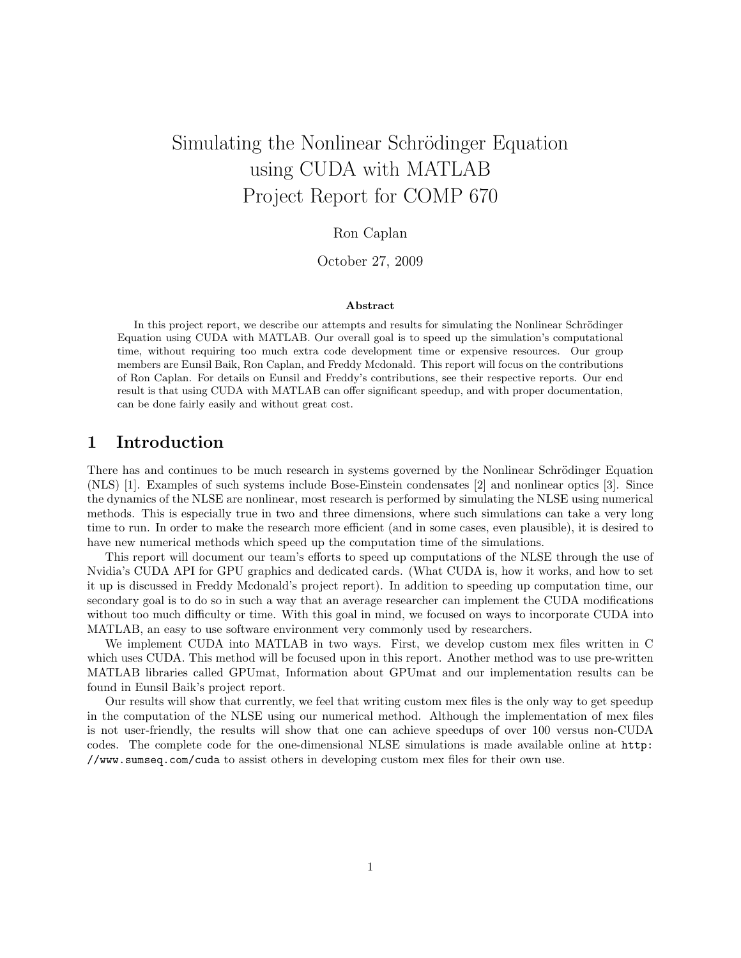# Simulating the Nonlinear Schrödinger Equation using CUDA with MATLAB Project Report for COMP 670

### Ron Caplan

October 27, 2009

#### Abstract

In this project report, we describe our attempts and results for simulating the Nonlinear Schrödinger Equation using CUDA with MATLAB. Our overall goal is to speed up the simulation's computational time, without requiring too much extra code development time or expensive resources. Our group members are Eunsil Baik, Ron Caplan, and Freddy Mcdonald. This report will focus on the contributions of Ron Caplan. For details on Eunsil and Freddy's contributions, see their respective reports. Our end result is that using CUDA with MATLAB can offer significant speedup, and with proper documentation, can be done fairly easily and without great cost.

### 1 Introduction

There has and continues to be much research in systems governed by the Nonlinear Schrödinger Equation (NLS) [1]. Examples of such systems include Bose-Einstein condensates [2] and nonlinear optics [3]. Since the dynamics of the NLSE are nonlinear, most research is performed by simulating the NLSE using numerical methods. This is especially true in two and three dimensions, where such simulations can take a very long time to run. In order to make the research more efficient (and in some cases, even plausible), it is desired to have new numerical methods which speed up the computation time of the simulations.

This report will document our team's efforts to speed up computations of the NLSE through the use of Nvidia's CUDA API for GPU graphics and dedicated cards. (What CUDA is, how it works, and how to set it up is discussed in Freddy Mcdonald's project report). In addition to speeding up computation time, our secondary goal is to do so in such a way that an average researcher can implement the CUDA modifications without too much difficulty or time. With this goal in mind, we focused on ways to incorporate CUDA into MATLAB, an easy to use software environment very commonly used by researchers.

We implement CUDA into MATLAB in two ways. First, we develop custom mex files written in C which uses CUDA. This method will be focused upon in this report. Another method was to use pre-written MATLAB libraries called GPUmat, Information about GPUmat and our implementation results can be found in Eunsil Baik's project report.

Our results will show that currently, we feel that writing custom mex files is the only way to get speedup in the computation of the NLSE using our numerical method. Although the implementation of mex files is not user-friendly, the results will show that one can achieve speedups of over 100 versus non-CUDA codes. The complete code for the one-dimensional NLSE simulations is made available online at http: //www.sumseq.com/cuda to assist others in developing custom mex files for their own use.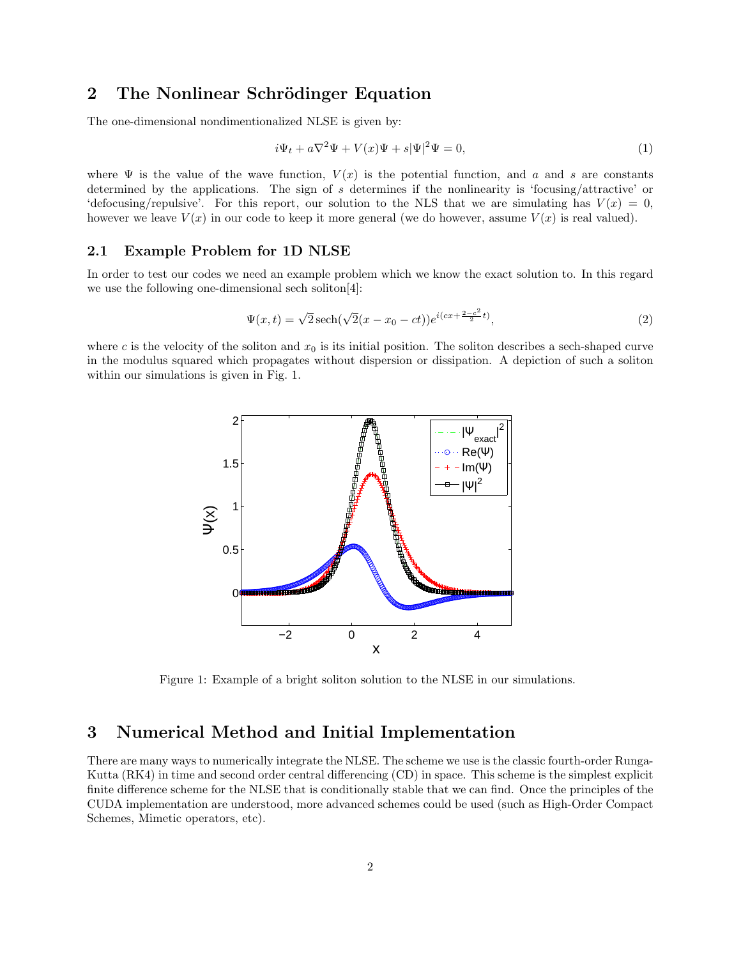## 2 The Nonlinear Schrödinger Equation

The one-dimensional nondimentionalized NLSE is given by:

$$
i\Psi_t + a\nabla^2 \Psi + V(x)\Psi + s|\Psi|^2 \Psi = 0,
$$
\n(1)

where  $\Psi$  is the value of the wave function,  $V(x)$  is the potential function, and a and s are constants determined by the applications. The sign of s determines if the nonlinearity is 'focusing/attractive' or 'defocusing/repulsive'. For this report, our solution to the NLS that we are simulating has  $V(x) = 0$ , however we leave  $V(x)$  in our code to keep it more general (we do however, assume  $V(x)$  is real valued).

#### 2.1 Example Problem for 1D NLSE

In order to test our codes we need an example problem which we know the exact solution to. In this regard we use the following one-dimensional sech soliton[4]:

$$
\Psi(x,t) = \sqrt{2} \operatorname{sech}(\sqrt{2}(x - x_0 - ct))e^{i(cx + \frac{2-c^2}{2}t)},\tag{2}
$$

where c is the velocity of the soliton and  $x_0$  is its initial position. The soliton describes a sech-shaped curve in the modulus squared which propagates without dispersion or dissipation. A depiction of such a soliton within our simulations is given in Fig. 1.



Figure 1: Example of a bright soliton solution to the NLSE in our simulations.

### 3 Numerical Method and Initial Implementation

There are many ways to numerically integrate the NLSE. The scheme we use is the classic fourth-order Runga-Kutta (RK4) in time and second order central differencing (CD) in space. This scheme is the simplest explicit finite difference scheme for the NLSE that is conditionally stable that we can find. Once the principles of the CUDA implementation are understood, more advanced schemes could be used (such as High-Order Compact Schemes, Mimetic operators, etc).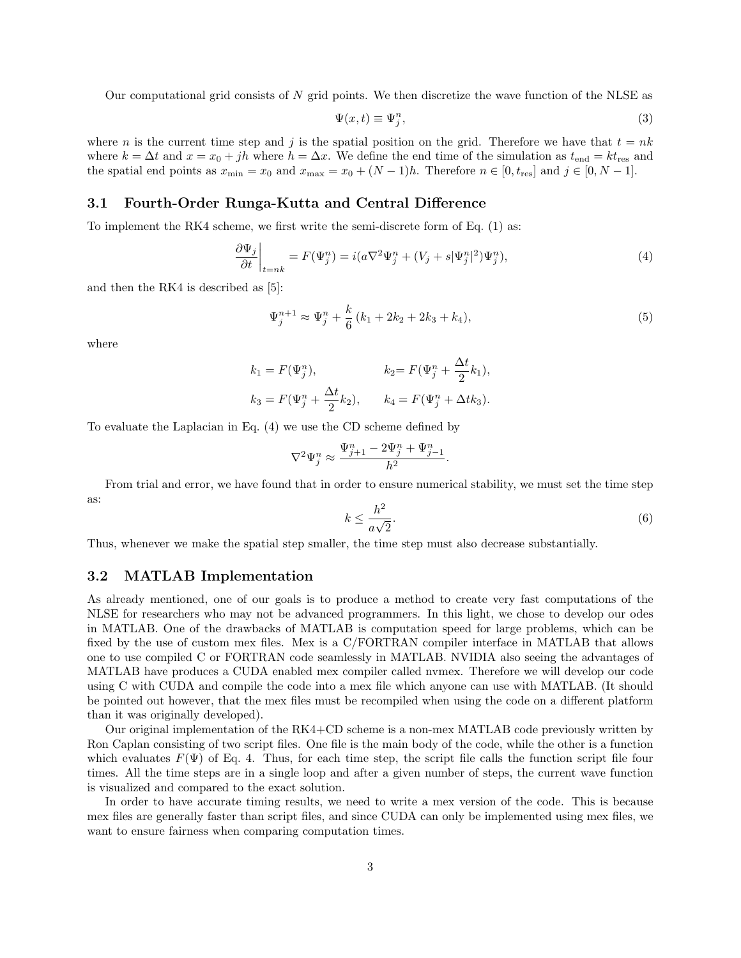Our computational grid consists of  $N$  grid points. We then discretize the wave function of the NLSE as

$$
\Psi(x,t) \equiv \Psi_j^n,\tag{3}
$$

where n is the current time step and j is the spatial position on the grid. Therefore we have that  $t = nk$ where  $k = \Delta t$  and  $x = x_0 + jh$  where  $h = \Delta x$ . We define the end time of the simulation as  $t_{\text{end}} = kt_{\text{res}}$  and the spatial end points as  $x_{\min} = x_0$  and  $x_{\max} = x_0 + (N-1)h$ . Therefore  $n \in [0, t_{\text{res}}]$  and  $j \in [0, N-1]$ .

### 3.1 Fourth-Order Runga-Kutta and Central Difference

To implement the RK4 scheme, we first write the semi-discrete form of Eq. (1) as:

$$
\left. \frac{\partial \Psi_j}{\partial t} \right|_{t=nk} = F(\Psi_j^n) = i(a\nabla^2 \Psi_j^n + (V_j + s|\Psi_j^n|^2) \Psi_j^n),\tag{4}
$$

and then the RK4 is described as [5]:

$$
\Psi_j^{n+1} \approx \Psi_j^n + \frac{k}{6} \left( k_1 + 2k_2 + 2k_3 + k_4 \right),\tag{5}
$$

.

where

$$
k_1 = F(\Psi_j^n),
$$
  $k_2 = F(\Psi_j^n + \frac{\Delta t}{2}k_1),$   
\n $k_3 = F(\Psi_j^n + \frac{\Delta t}{2}k_2),$   $k_4 = F(\Psi_j^n + \Delta t k_3).$ 

To evaluate the Laplacian in Eq. (4) we use the CD scheme defined by

$$
\nabla^2 \Psi_j^n \approx \frac{\Psi_{j+1}^n - 2\Psi_j^n + \Psi_{j-1}^n}{h^2}
$$

From trial and error, we have found that in order to ensure numerical stability, we must set the time step as:

$$
k \le \frac{h^2}{a\sqrt{2}}.\tag{6}
$$

Thus, whenever we make the spatial step smaller, the time step must also decrease substantially.

#### 3.2 MATLAB Implementation

As already mentioned, one of our goals is to produce a method to create very fast computations of the NLSE for researchers who may not be advanced programmers. In this light, we chose to develop our odes in MATLAB. One of the drawbacks of MATLAB is computation speed for large problems, which can be fixed by the use of custom mex files. Mex is a C/FORTRAN compiler interface in MATLAB that allows one to use compiled C or FORTRAN code seamlessly in MATLAB. NVIDIA also seeing the advantages of MATLAB have produces a CUDA enabled mex compiler called nvmex. Therefore we will develop our code using C with CUDA and compile the code into a mex file which anyone can use with MATLAB. (It should be pointed out however, that the mex files must be recompiled when using the code on a different platform than it was originally developed).

Our original implementation of the RK4+CD scheme is a non-mex MATLAB code previously written by Ron Caplan consisting of two script files. One file is the main body of the code, while the other is a function which evaluates  $F(\Psi)$  of Eq. 4. Thus, for each time step, the script file calls the function script file four times. All the time steps are in a single loop and after a given number of steps, the current wave function is visualized and compared to the exact solution.

In order to have accurate timing results, we need to write a mex version of the code. This is because mex files are generally faster than script files, and since CUDA can only be implemented using mex files, we want to ensure fairness when comparing computation times.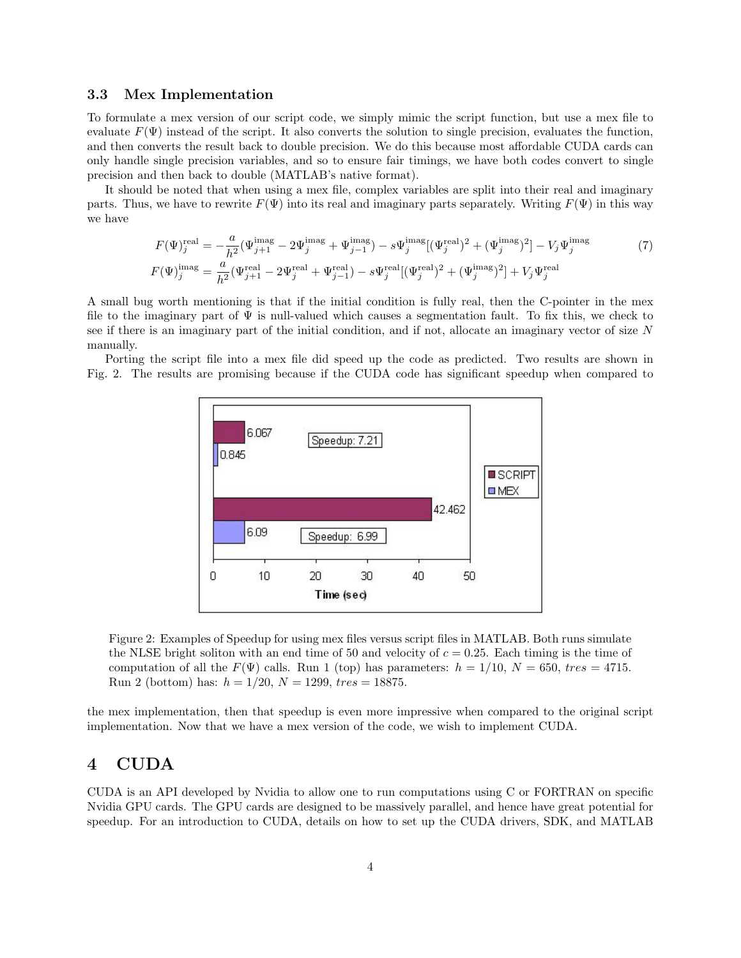#### 3.3 Mex Implementation

To formulate a mex version of our script code, we simply mimic the script function, but use a mex file to evaluate  $F(\Psi)$  instead of the script. It also converts the solution to single precision, evaluates the function, and then converts the result back to double precision. We do this because most affordable CUDA cards can only handle single precision variables, and so to ensure fair timings, we have both codes convert to single precision and then back to double (MATLAB's native format).

It should be noted that when using a mex file, complex variables are split into their real and imaginary parts. Thus, we have to rewrite  $F(\Psi)$  into its real and imaginary parts separately. Writing  $F(\Psi)$  in this way we have

$$
F(\Psi)_{j}^{\text{real}} = -\frac{a}{h^{2}} (\Psi_{j+1}^{\text{imag}} - 2\Psi_{j}^{\text{imag}} + \Psi_{j-1}^{\text{imag}}) - s\Psi_{j}^{\text{imag}} [(\Psi_{j}^{\text{real}})^{2} + (\Psi_{j}^{\text{imag}})^{2}] - V_{j}\Psi_{j}^{\text{imag}}
$$
\n
$$
F(\Psi)_{j}^{\text{imag}} = \frac{a}{h^{2}} (\Psi_{j+1}^{\text{real}} - 2\Psi_{j}^{\text{real}} + \Psi_{j-1}^{\text{real}}) - s\Psi_{j}^{\text{real}} [(\Psi_{j}^{\text{real}})^{2} + (\Psi_{j}^{\text{imag}})^{2}] + V_{j}\Psi_{j}^{\text{real}}
$$
\n(7)

A small bug worth mentioning is that if the initial condition is fully real, then the C-pointer in the mex file to the imaginary part of  $\Psi$  is null-valued which causes a segmentation fault. To fix this, we check to see if there is an imaginary part of the initial condition, and if not, allocate an imaginary vector of size N manually.

Porting the script file into a mex file did speed up the code as predicted. Two results are shown in Fig. 2. The results are promising because if the CUDA code has significant speedup when compared to



Figure 2: Examples of Speedup for using mex files versus script files in MATLAB. Both runs simulate the NLSE bright soliton with an end time of 50 and velocity of  $c = 0.25$ . Each timing is the time of computation of all the  $F(\Psi)$  calls. Run 1 (top) has parameters:  $h = 1/10$ ,  $N = 650$ , tres = 4715. Run 2 (bottom) has:  $h = 1/20$ ,  $N = 1299$ ,  $tres = 18875$ .

the mex implementation, then that speedup is even more impressive when compared to the original script implementation. Now that we have a mex version of the code, we wish to implement CUDA.

### 4 CUDA

CUDA is an API developed by Nvidia to allow one to run computations using C or FORTRAN on specific Nvidia GPU cards. The GPU cards are designed to be massively parallel, and hence have great potential for speedup. For an introduction to CUDA, details on how to set up the CUDA drivers, SDK, and MATLAB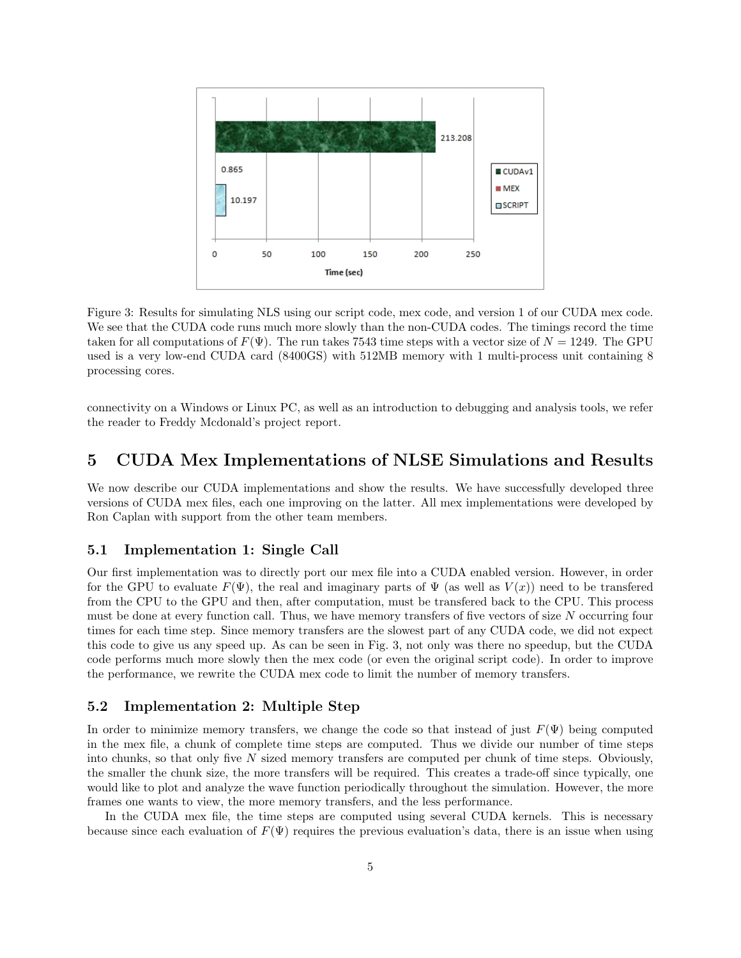

Figure 3: Results for simulating NLS using our script code, mex code, and version 1 of our CUDA mex code. We see that the CUDA code runs much more slowly than the non-CUDA codes. The timings record the time taken for all computations of  $F(\Psi)$ . The run takes 7543 time steps with a vector size of  $N = 1249$ . The GPU used is a very low-end CUDA card (8400GS) with 512MB memory with 1 multi-process unit containing 8 processing cores.

connectivity on a Windows or Linux PC, as well as an introduction to debugging and analysis tools, we refer the reader to Freddy Mcdonald's project report.

### 5 CUDA Mex Implementations of NLSE Simulations and Results

We now describe our CUDA implementations and show the results. We have successfully developed three versions of CUDA mex files, each one improving on the latter. All mex implementations were developed by Ron Caplan with support from the other team members.

### 5.1 Implementation 1: Single Call

Our first implementation was to directly port our mex file into a CUDA enabled version. However, in order for the GPU to evaluate  $F(\Psi)$ , the real and imaginary parts of  $\Psi$  (as well as  $V(x)$ ) need to be transferred from the CPU to the GPU and then, after computation, must be transfered back to the CPU. This process must be done at every function call. Thus, we have memory transfers of five vectors of size N occurring four times for each time step. Since memory transfers are the slowest part of any CUDA code, we did not expect this code to give us any speed up. As can be seen in Fig. 3, not only was there no speedup, but the CUDA code performs much more slowly then the mex code (or even the original script code). In order to improve the performance, we rewrite the CUDA mex code to limit the number of memory transfers.

### 5.2 Implementation 2: Multiple Step

In order to minimize memory transfers, we change the code so that instead of just  $F(\Psi)$  being computed in the mex file, a chunk of complete time steps are computed. Thus we divide our number of time steps into chunks, so that only five N sized memory transfers are computed per chunk of time steps. Obviously, the smaller the chunk size, the more transfers will be required. This creates a trade-off since typically, one would like to plot and analyze the wave function periodically throughout the simulation. However, the more frames one wants to view, the more memory transfers, and the less performance.

In the CUDA mex file, the time steps are computed using several CUDA kernels. This is necessary because since each evaluation of  $F(\Psi)$  requires the previous evaluation's data, there is an issue when using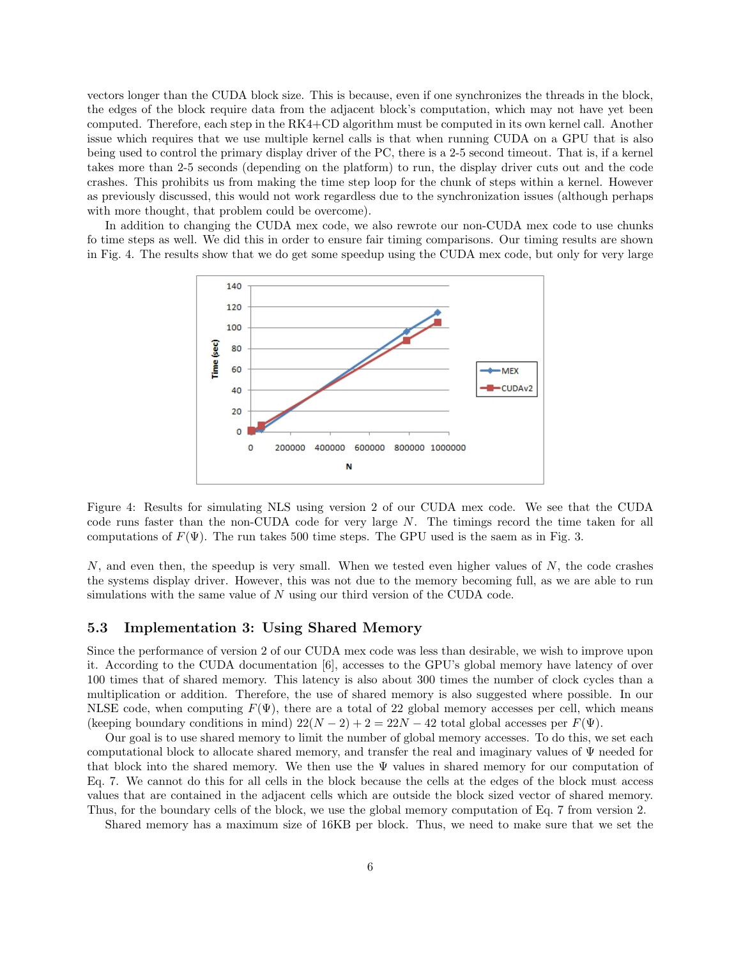vectors longer than the CUDA block size. This is because, even if one synchronizes the threads in the block, the edges of the block require data from the adjacent block's computation, which may not have yet been computed. Therefore, each step in the RK4+CD algorithm must be computed in its own kernel call. Another issue which requires that we use multiple kernel calls is that when running CUDA on a GPU that is also being used to control the primary display driver of the PC, there is a 2-5 second timeout. That is, if a kernel takes more than 2-5 seconds (depending on the platform) to run, the display driver cuts out and the code crashes. This prohibits us from making the time step loop for the chunk of steps within a kernel. However as previously discussed, this would not work regardless due to the synchronization issues (although perhaps with more thought, that problem could be overcome).

In addition to changing the CUDA mex code, we also rewrote our non-CUDA mex code to use chunks fo time steps as well. We did this in order to ensure fair timing comparisons. Our timing results are shown in Fig. 4. The results show that we do get some speedup using the CUDA mex code, but only for very large



Figure 4: Results for simulating NLS using version 2 of our CUDA mex code. We see that the CUDA code runs faster than the non-CUDA code for very large N. The timings record the time taken for all computations of  $F(\Psi)$ . The run takes 500 time steps. The GPU used is the saem as in Fig. 3.

 $N$ , and even then, the speedup is very small. When we tested even higher values of  $N$ , the code crashes the systems display driver. However, this was not due to the memory becoming full, as we are able to run simulations with the same value of  $N$  using our third version of the CUDA code.

### 5.3 Implementation 3: Using Shared Memory

Since the performance of version 2 of our CUDA mex code was less than desirable, we wish to improve upon it. According to the CUDA documentation [6], accesses to the GPU's global memory have latency of over 100 times that of shared memory. This latency is also about 300 times the number of clock cycles than a multiplication or addition. Therefore, the use of shared memory is also suggested where possible. In our NLSE code, when computing  $F(\Psi)$ , there are a total of 22 global memory accesses per cell, which means (keeping boundary conditions in mind)  $22(N-2) + 2 = 22N - 42$  total global accesses per  $F(\Psi)$ .

Our goal is to use shared memory to limit the number of global memory accesses. To do this, we set each computational block to allocate shared memory, and transfer the real and imaginary values of Ψ needed for that block into the shared memory. We then use the  $\Psi$  values in shared memory for our computation of Eq. 7. We cannot do this for all cells in the block because the cells at the edges of the block must access values that are contained in the adjacent cells which are outside the block sized vector of shared memory. Thus, for the boundary cells of the block, we use the global memory computation of Eq. 7 from version 2.

Shared memory has a maximum size of 16KB per block. Thus, we need to make sure that we set the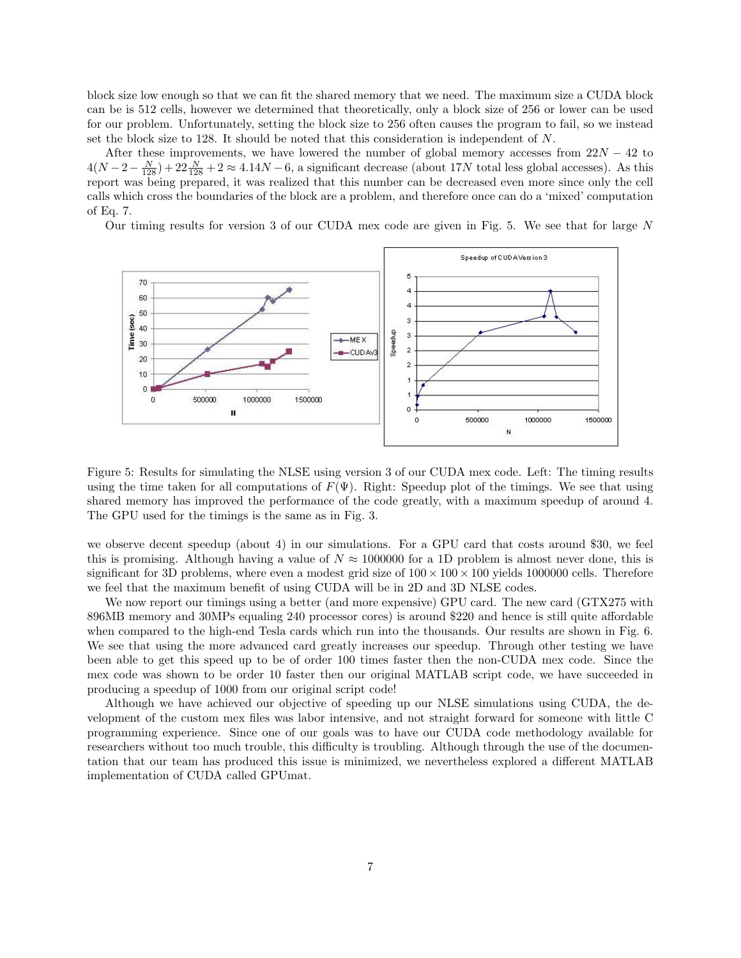block size low enough so that we can fit the shared memory that we need. The maximum size a CUDA block can be is 512 cells, however we determined that theoretically, only a block size of 256 or lower can be used for our problem. Unfortunately, setting the block size to 256 often causes the program to fail, so we instead set the block size to 128. It should be noted that this consideration is independent of N.

After these improvements, we have lowered the number of global memory accesses from  $22N - 42$  to  $4(N-2-\frac{N}{128})+22\frac{N}{128}+2\approx 4.14N-6$ , a significant decrease (about 17N total less global accesses). As this report was being prepared, it was realized that this number can be decreased even more since only the cell calls which cross the boundaries of the block are a problem, and therefore once can do a 'mixed' computation of Eq. 7.

Our timing results for version 3 of our CUDA mex code are given in Fig. 5. We see that for large N



Figure 5: Results for simulating the NLSE using version 3 of our CUDA mex code. Left: The timing results using the time taken for all computations of  $F(\Psi)$ . Right: Speedup plot of the timings. We see that using shared memory has improved the performance of the code greatly, with a maximum speedup of around 4. The GPU used for the timings is the same as in Fig. 3.

we observe decent speedup (about 4) in our simulations. For a GPU card that costs around \$30, we feel this is promising. Although having a value of  $N \approx 1000000$  for a 1D problem is almost never done, this is significant for 3D problems, where even a modest grid size of  $100 \times 100 \times 100$  yields 1000000 cells. Therefore we feel that the maximum benefit of using CUDA will be in 2D and 3D NLSE codes.

We now report our timings using a better (and more expensive) GPU card. The new card (GTX275 with 896MB memory and 30MPs equaling 240 processor cores) is around \$220 and hence is still quite affordable when compared to the high-end Tesla cards which run into the thousands. Our results are shown in Fig. 6. We see that using the more advanced card greatly increases our speedup. Through other testing we have been able to get this speed up to be of order 100 times faster then the non-CUDA mex code. Since the mex code was shown to be order 10 faster then our original MATLAB script code, we have succeeded in producing a speedup of 1000 from our original script code!

Although we have achieved our objective of speeding up our NLSE simulations using CUDA, the development of the custom mex files was labor intensive, and not straight forward for someone with little C programming experience. Since one of our goals was to have our CUDA code methodology available for researchers without too much trouble, this difficulty is troubling. Although through the use of the documentation that our team has produced this issue is minimized, we nevertheless explored a different MATLAB implementation of CUDA called GPUmat.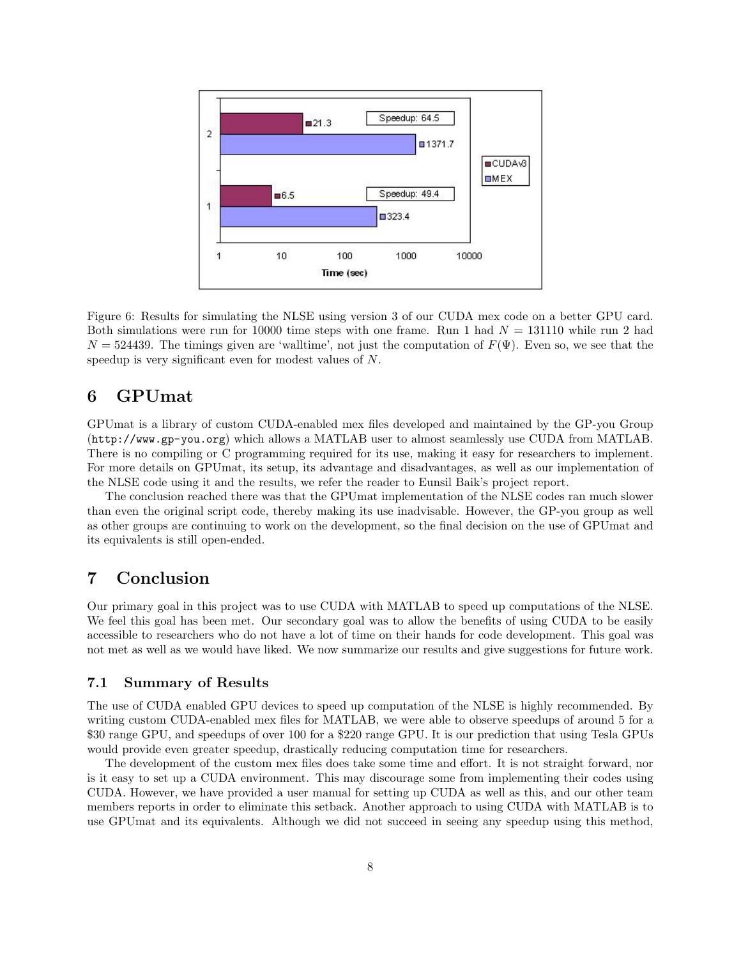

Figure 6: Results for simulating the NLSE using version 3 of our CUDA mex code on a better GPU card. Both simulations were run for 10000 time steps with one frame. Run 1 had  $N = 131110$  while run 2 had  $N = 524439$ . The timings given are 'walltime', not just the computation of  $F(\Psi)$ . Even so, we see that the speedup is very significant even for modest values of N.

# 6 GPUmat

GPUmat is a library of custom CUDA-enabled mex files developed and maintained by the GP-you Group (http://www.gp-you.org) which allows a MATLAB user to almost seamlessly use CUDA from MATLAB. There is no compiling or C programming required for its use, making it easy for researchers to implement. For more details on GPUmat, its setup, its advantage and disadvantages, as well as our implementation of the NLSE code using it and the results, we refer the reader to Eunsil Baik's project report.

The conclusion reached there was that the GPUmat implementation of the NLSE codes ran much slower than even the original script code, thereby making its use inadvisable. However, the GP-you group as well as other groups are continuing to work on the development, so the final decision on the use of GPUmat and its equivalents is still open-ended.

# 7 Conclusion

Our primary goal in this project was to use CUDA with MATLAB to speed up computations of the NLSE. We feel this goal has been met. Our secondary goal was to allow the benefits of using CUDA to be easily accessible to researchers who do not have a lot of time on their hands for code development. This goal was not met as well as we would have liked. We now summarize our results and give suggestions for future work.

#### 7.1 Summary of Results

The use of CUDA enabled GPU devices to speed up computation of the NLSE is highly recommended. By writing custom CUDA-enabled mex files for MATLAB, we were able to observe speedups of around 5 for a \$30 range GPU, and speedups of over 100 for a \$220 range GPU. It is our prediction that using Tesla GPUs would provide even greater speedup, drastically reducing computation time for researchers.

The development of the custom mex files does take some time and effort. It is not straight forward, nor is it easy to set up a CUDA environment. This may discourage some from implementing their codes using CUDA. However, we have provided a user manual for setting up CUDA as well as this, and our other team members reports in order to eliminate this setback. Another approach to using CUDA with MATLAB is to use GPUmat and its equivalents. Although we did not succeed in seeing any speedup using this method,